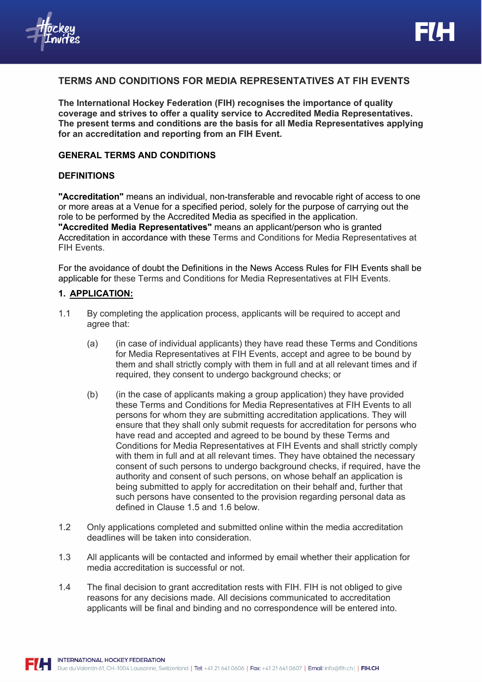# **TERMS AND CONDITIONS FOR MEDIA REPRESENTATIVES AT FIH EVENTS**

**The International Hockey Federation (FIH) recognises the importance of quality coverage and strives to offer a quality service to Accredited Media Representatives. The present terms and conditions are the basis for all Media Representatives applying for an accreditation and reporting from an FIH Event.** 

## **GENERAL TERMS AND CONDITIONS**

### **DEFINITIONS**

**"Accreditation"** means an individual, non-transferable and revocable right of access to one or more areas at a Venue for a specified period, solely for the purpose of carrying out the role to be performed by the Accredited Media as specified in the application. **"Accredited Media Representatives"** means an applicant/person who is granted Accreditation in accordance with these Terms and Conditions for Media Representatives at FIH Events.

For the avoidance of doubt the Definitions in the News Access Rules for FIH Events shall be applicable for these Terms and Conditions for Media Representatives at FIH Events.

#### **1. APPLICATION:**

- 1.1 By completing the application process, applicants will be required to accept and agree that:
	- (a) (in case of individual applicants) they have read these Terms and Conditions for Media Representatives at FIH Events, accept and agree to be bound by them and shall strictly comply with them in full and at all relevant times and if required, they consent to undergo background checks; or
	- (b) (in the case of applicants making a group application) they have provided these Terms and Conditions for Media Representatives at FIH Events to all persons for whom they are submitting accreditation applications. They will ensure that they shall only submit requests for accreditation for persons who have read and accepted and agreed to be bound by these Terms and Conditions for Media Representatives at FIH Events and shall strictly comply with them in full and at all relevant times. They have obtained the necessary consent of such persons to undergo background checks, if required, have the authority and consent of such persons, on whose behalf an application is being submitted to apply for accreditation on their behalf and, further that such persons have consented to the provision regarding personal data as defined in Clause 1.5 and 1.6 below.
- 1.2 Only applications completed and submitted online within the media accreditation deadlines will be taken into consideration.
- 1.3 All applicants will be contacted and informed by email whether their application for media accreditation is successful or not.
- 1.4 The final decision to grant accreditation rests with FIH. FIH is not obliged to give reasons for any decisions made. All decisions communicated to accreditation applicants will be final and binding and no correspondence will be entered into.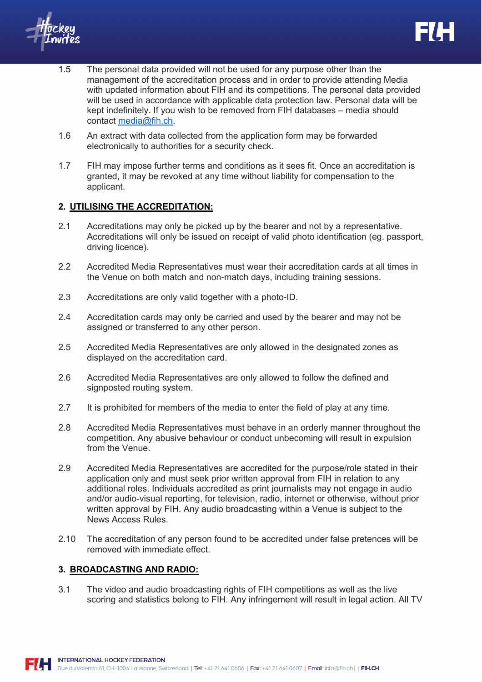- 1.5 The personal data provided will not be used for any purpose other than the management of the accreditation process and in order to provide attending Media with updated information about FIH and its competitions. The personal data provided will be used in accordance with applicable data protection law. Personal data will be kept indefinitely. If you wish to be removed from FIH databases – media should contact media@fih.ch.
- 1.6 An extract with data collected from the application form may be forwarded electronically to authorities for a security check.
- 1.7 FIH may impose further terms and conditions as it sees fit. Once an accreditation is granted, it may be revoked at any time without liability for compensation to the applicant.

## **2. UTILISING THE ACCREDITATION:**

- 2.1 Accreditations may only be picked up by the bearer and not by a representative. Accreditations will only be issued on receipt of valid photo identification (eg. passport, driving licence).
- 2.2 Accredited Media Representatives must wear their accreditation cards at all times in the Venue on both match and non-match days, including training sessions.
- 2.3 Accreditations are only valid together with a photo-ID.
- 2.4 Accreditation cards may only be carried and used by the bearer and may not be assigned or transferred to any other person.
- 2.5 Accredited Media Representatives are only allowed in the designated zones as displayed on the accreditation card.
- 2.6 Accredited Media Representatives are only allowed to follow the defined and signposted routing system.
- 2.7 It is prohibited for members of the media to enter the field of play at any time.
- 2.8 Accredited Media Representatives must behave in an orderly manner throughout the competition. Any abusive behaviour or conduct unbecoming will result in expulsion from the Venue.
- 2.9 Accredited Media Representatives are accredited for the purpose/role stated in their application only and must seek prior written approval from FIH in relation to any additional roles. Individuals accredited as print journalists may not engage in audio and/or audio-visual reporting, for television, radio, internet or otherwise, without prior written approval by FIH. Any audio broadcasting within a Venue is subject to the News Access Rules.
- 2.10 The accreditation of any person found to be accredited under false pretences will be removed with immediate effect.

## **3. BROADCASTING AND RADIO:**

3.1 The video and audio broadcasting rights of FIH competitions as well as the live scoring and statistics belong to FIH. Any infringement will result in legal action. All TV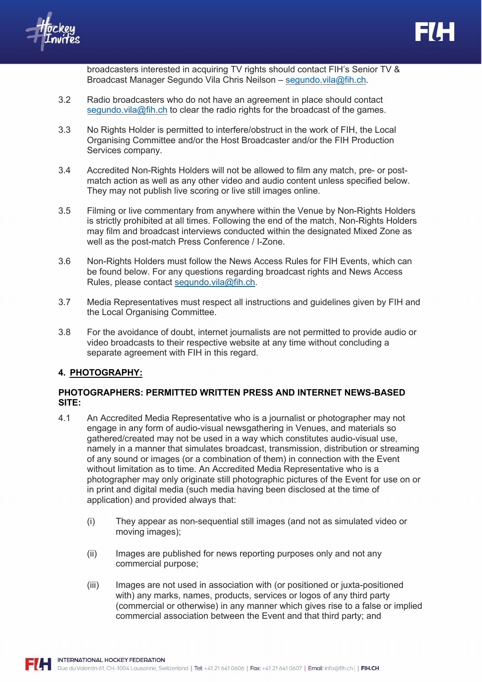

broadcasters interested in acquiring TV rights should contact FIH's Senior TV & Broadcast Manager Segundo Vila Chris Neilson – segundo.vila@fih.ch.

- 3.2 Radio broadcasters who do not have an agreement in place should contact segundo.vila@fih.ch to clear the radio rights for the broadcast of the games.
- 3.3 No Rights Holder is permitted to interfere/obstruct in the work of FIH, the Local Organising Committee and/or the Host Broadcaster and/or the FIH Production Services company.
- 3.4 Accredited Non-Rights Holders will not be allowed to film any match, pre- or postmatch action as well as any other video and audio content unless specified below. They may not publish live scoring or live still images online.
- 3.5 Filming or live commentary from anywhere within the Venue by Non-Rights Holders is strictly prohibited at all times. Following the end of the match, Non-Rights Holders may film and broadcast interviews conducted within the designated Mixed Zone as well as the post-match Press Conference / I-Zone.
- 3.6 Non-Rights Holders must follow the News Access Rules for FIH Events, which can be found below. For any questions regarding broadcast rights and News Access Rules, please contact segundo.vila@fih.ch.
- 3.7 Media Representatives must respect all instructions and guidelines given by FIH and the Local Organising Committee.
- 3.8 For the avoidance of doubt, internet journalists are not permitted to provide audio or video broadcasts to their respective website at any time without concluding a separate agreement with FIH in this regard.

## **4. PHOTOGRAPHY:**

## **PHOTOGRAPHERS: PERMITTED WRITTEN PRESS AND INTERNET NEWS-BASED SITE:**

- 4.1 An Accredited Media Representative who is a journalist or photographer may not engage in any form of audio-visual newsgathering in Venues, and materials so gathered/created may not be used in a way which constitutes audio-visual use, namely in a manner that simulates broadcast, transmission, distribution or streaming of any sound or images (or a combination of them) in connection with the Event without limitation as to time. An Accredited Media Representative who is a photographer may only originate still photographic pictures of the Event for use on or in print and digital media (such media having been disclosed at the time of application) and provided always that:
	- (i) They appear as non-sequential still images (and not as simulated video or moving images);
	- (ii) Images are published for news reporting purposes only and not any commercial purpose;
	- (iii) Images are not used in association with (or positioned or juxta-positioned with) any marks, names, products, services or logos of any third party (commercial or otherwise) in any manner which gives rise to a false or implied commercial association between the Event and that third party; and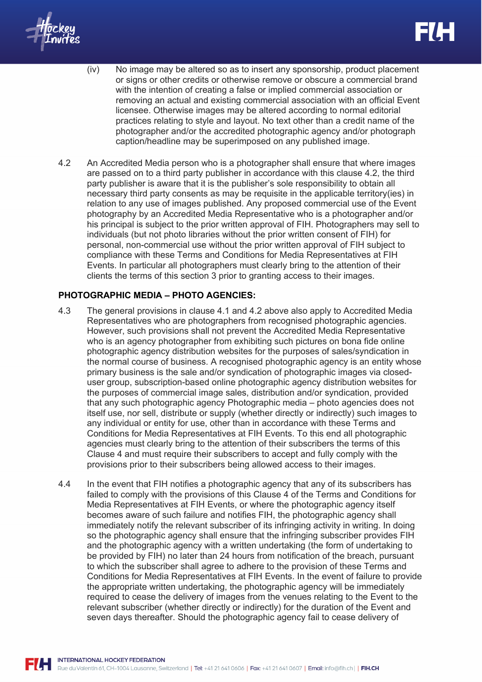- (iv) No image may be altered so as to insert any sponsorship, product placement or signs or other credits or otherwise remove or obscure a commercial brand with the intention of creating a false or implied commercial association or removing an actual and existing commercial association with an official Event licensee. Otherwise images may be altered according to normal editorial practices relating to style and layout. No text other than a credit name of the photographer and/or the accredited photographic agency and/or photograph caption/headline may be superimposed on any published image.
- 4.2 An Accredited Media person who is a photographer shall ensure that where images are passed on to a third party publisher in accordance with this clause 4.2, the third party publisher is aware that it is the publisher's sole responsibility to obtain all necessary third party consents as may be requisite in the applicable territory(ies) in relation to any use of images published. Any proposed commercial use of the Event photography by an Accredited Media Representative who is a photographer and/or his principal is subject to the prior written approval of FIH. Photographers may sell to individuals (but not photo libraries without the prior written consent of FIH) for personal, non-commercial use without the prior written approval of FIH subject to compliance with these Terms and Conditions for Media Representatives at FIH Events. In particular all photographers must clearly bring to the attention of their clients the terms of this section 3 prior to granting access to their images.

## **PHOTOGRAPHIC MEDIA – PHOTO AGENCIES:**

- 4.3 The general provisions in clause 4.1 and 4.2 above also apply to Accredited Media Representatives who are photographers from recognised photographic agencies. However, such provisions shall not prevent the Accredited Media Representative who is an agency photographer from exhibiting such pictures on bona fide online photographic agency distribution websites for the purposes of sales/syndication in the normal course of business. A recognised photographic agency is an entity whose primary business is the sale and/or syndication of photographic images via closeduser group, subscription-based online photographic agency distribution websites for the purposes of commercial image sales, distribution and/or syndication, provided that any such photographic agency Photographic media – photo agencies does not itself use, nor sell, distribute or supply (whether directly or indirectly) such images to any individual or entity for use, other than in accordance with these Terms and Conditions for Media Representatives at FIH Events. To this end all photographic agencies must clearly bring to the attention of their subscribers the terms of this Clause 4 and must require their subscribers to accept and fully comply with the provisions prior to their subscribers being allowed access to their images.
- 4.4 In the event that FIH notifies a photographic agency that any of its subscribers has failed to comply with the provisions of this Clause 4 of the Terms and Conditions for Media Representatives at FIH Events, or where the photographic agency itself becomes aware of such failure and notifies FIH, the photographic agency shall immediately notify the relevant subscriber of its infringing activity in writing. In doing so the photographic agency shall ensure that the infringing subscriber provides FIH and the photographic agency with a written undertaking (the form of undertaking to be provided by FIH) no later than 24 hours from notification of the breach, pursuant to which the subscriber shall agree to adhere to the provision of these Terms and Conditions for Media Representatives at FIH Events. In the event of failure to provide the appropriate written undertaking, the photographic agency will be immediately required to cease the delivery of images from the venues relating to the Event to the relevant subscriber (whether directly or indirectly) for the duration of the Event and seven days thereafter. Should the photographic agency fail to cease delivery of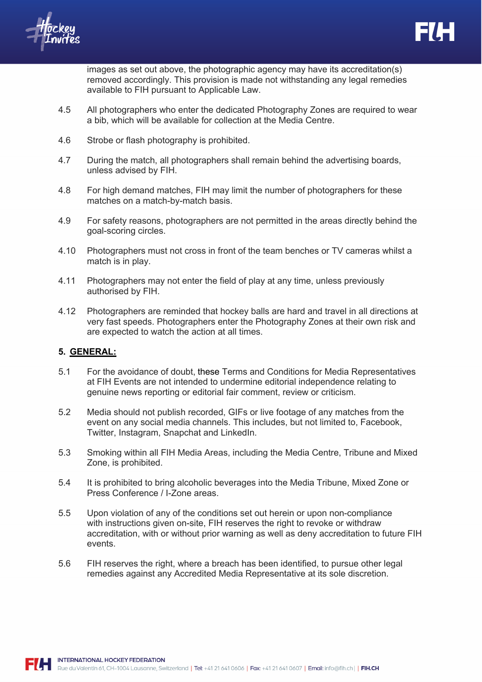images as set out above, the photographic agency may have its accreditation(s) removed accordingly. This provision is made not withstanding any legal remedies available to FIH pursuant to Applicable Law.

- 4.5 All photographers who enter the dedicated Photography Zones are required to wear a bib, which will be available for collection at the Media Centre.
- 4.6 Strobe or flash photography is prohibited.
- 4.7 During the match, all photographers shall remain behind the advertising boards, unless advised by FIH.
- 4.8 For high demand matches, FIH may limit the number of photographers for these matches on a match-by-match basis.
- 4.9 For safety reasons, photographers are not permitted in the areas directly behind the goal-scoring circles.
- 4.10 Photographers must not cross in front of the team benches or TV cameras whilst a match is in play.
- 4.11 Photographers may not enter the field of play at any time, unless previously authorised by FIH.
- 4.12 Photographers are reminded that hockey balls are hard and travel in all directions at very fast speeds. Photographers enter the Photography Zones at their own risk and are expected to watch the action at all times.

## **5. GENERAL:**

- 5.1 For the avoidance of doubt, these Terms and Conditions for Media Representatives at FIH Events are not intended to undermine editorial independence relating to genuine news reporting or editorial fair comment, review or criticism.
- 5.2 Media should not publish recorded, GIFs or live footage of any matches from the event on any social media channels. This includes, but not limited to, Facebook, Twitter, Instagram, Snapchat and LinkedIn.
- 5.3 Smoking within all FIH Media Areas, including the Media Centre, Tribune and Mixed Zone, is prohibited.
- 5.4 It is prohibited to bring alcoholic beverages into the Media Tribune, Mixed Zone or Press Conference / I-Zone areas.
- 5.5 Upon violation of any of the conditions set out herein or upon non-compliance with instructions given on-site, FIH reserves the right to revoke or withdraw accreditation, with or without prior warning as well as deny accreditation to future FIH events.
- 5.6 FIH reserves the right, where a breach has been identified, to pursue other legal remedies against any Accredited Media Representative at its sole discretion.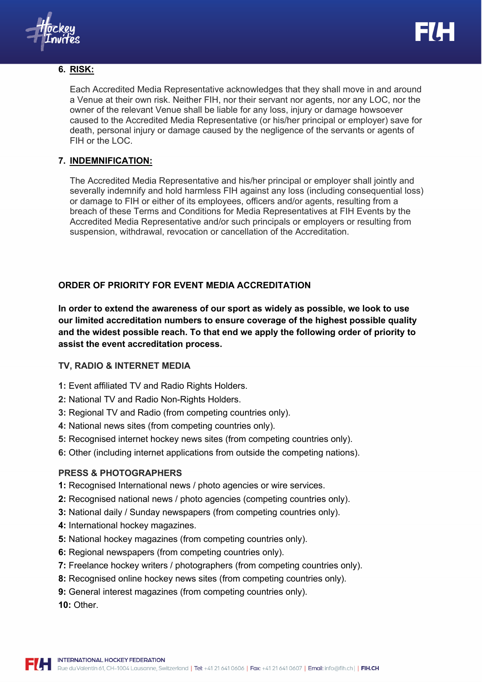# **6. RISK:**

Each Accredited Media Representative acknowledges that they shall move in and around a Venue at their own risk. Neither FIH, nor their servant nor agents, nor any LOC, nor the owner of the relevant Venue shall be liable for any loss, injury or damage howsoever caused to the Accredited Media Representative (or his/her principal or employer) save for death, personal injury or damage caused by the negligence of the servants or agents of FIH or the LOC.

# **7. INDEMNIFICATION:**

The Accredited Media Representative and his/her principal or employer shall jointly and severally indemnify and hold harmless FIH against any loss (including consequential loss) or damage to FIH or either of its employees, officers and/or agents, resulting from a breach of these Terms and Conditions for Media Representatives at FIH Events by the Accredited Media Representative and/or such principals or employers or resulting from suspension, withdrawal, revocation or cancellation of the Accreditation.

# **ORDER OF PRIORITY FOR EVENT MEDIA ACCREDITATION**

**In order to extend the awareness of our sport as widely as possible, we look to use our limited accreditation numbers to ensure coverage of the highest possible quality and the widest possible reach. To that end we apply the following order of priority to assist the event accreditation process.**

# **TV, RADIO & INTERNET MEDIA**

- **1:** Event affiliated TV and Radio Rights Holders.
- **2:** National TV and Radio Non-Rights Holders.
- **3:** Regional TV and Radio (from competing countries only).
- **4:** National news sites (from competing countries only).
- **5:** Recognised internet hockey news sites (from competing countries only).
- **6:** Other (including internet applications from outside the competing nations).

# **PRESS & PHOTOGRAPHERS**

- **1:** Recognised International news / photo agencies or wire services.
- **2:** Recognised national news / photo agencies (competing countries only).
- **3:** National daily / Sunday newspapers (from competing countries only).
- **4:** International hockey magazines.
- **5:** National hockey magazines (from competing countries only).
- **6:** Regional newspapers (from competing countries only).
- **7:** Freelance hockey writers / photographers (from competing countries only).
- **8:** Recognised online hockey news sites (from competing countries only).
- **9:** General interest magazines (from competing countries only).

**10:** Other.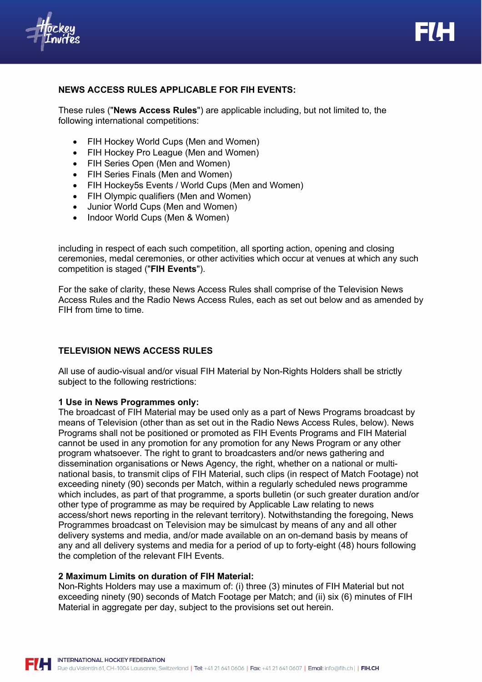

## **NEWS ACCESS RULES APPLICABLE FOR FIH EVENTS:**

These rules ("**News Access Rules**") are applicable including, but not limited to, the following international competitions:

- FIH Hockey World Cups (Men and Women)
- FIH Hockey Pro League (Men and Women)
- FIH Series Open (Men and Women)
- FIH Series Finals (Men and Women)
- FIH Hockey5s Events / World Cups (Men and Women)
- FIH Olympic qualifiers (Men and Women)
- Junior World Cups (Men and Women)
- Indoor World Cups (Men & Women)

including in respect of each such competition, all sporting action, opening and closing ceremonies, medal ceremonies, or other activities which occur at venues at which any such competition is staged ("**FIH Events**").

For the sake of clarity, these News Access Rules shall comprise of the Television News Access Rules and the Radio News Access Rules, each as set out below and as amended by FIH from time to time.

## **TELEVISION NEWS ACCESS RULES**

All use of audio-visual and/or visual FIH Material by Non-Rights Holders shall be strictly subject to the following restrictions:

#### **1 Use in News Programmes only:**

The broadcast of FIH Material may be used only as a part of News Programs broadcast by means of Television (other than as set out in the Radio News Access Rules, below). News Programs shall not be positioned or promoted as FIH Events Programs and FIH Material cannot be used in any promotion for any promotion for any News Program or any other program whatsoever. The right to grant to broadcasters and/or news gathering and dissemination organisations or News Agency, the right, whether on a national or multinational basis, to transmit clips of FIH Material, such clips (in respect of Match Footage) not exceeding ninety (90) seconds per Match, within a regularly scheduled news programme which includes, as part of that programme, a sports bulletin (or such greater duration and/or other type of programme as may be required by Applicable Law relating to news access/short news reporting in the relevant territory). Notwithstanding the foregoing, News Programmes broadcast on Television may be simulcast by means of any and all other delivery systems and media, and/or made available on an on-demand basis by means of any and all delivery systems and media for a period of up to forty-eight (48) hours following the completion of the relevant FIH Events.

#### **2 Maximum Limits on duration of FIH Material:**

Non-Rights Holders may use a maximum of: (i) three (3) minutes of FIH Material but not exceeding ninety (90) seconds of Match Footage per Match; and (ii) six (6) minutes of FIH Material in aggregate per day, subject to the provisions set out herein.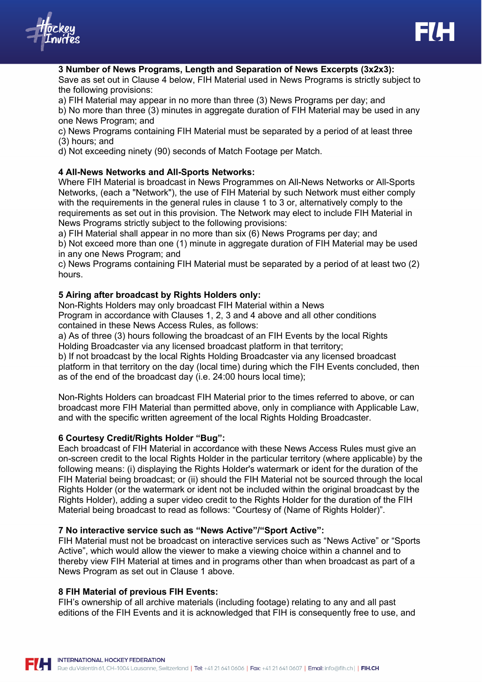

**3 Number of News Programs, Length and Separation of News Excerpts (3x2x3):** Save as set out in Clause 4 below, FIH Material used in News Programs is strictly subject to the following provisions:

a) FIH Material may appear in no more than three (3) News Programs per day; and

b) No more than three (3) minutes in aggregate duration of FIH Material may be used in any one News Program; and

c) News Programs containing FIH Material must be separated by a period of at least three (3) hours; and

d) Not exceeding ninety (90) seconds of Match Footage per Match.

### **4 All-News Networks and All-Sports Networks:**

Where FIH Material is broadcast in News Programmes on All-News Networks or All-Sports Networks, (each a "Network"), the use of FIH Material by such Network must either comply with the requirements in the general rules in clause 1 to 3 or, alternatively comply to the requirements as set out in this provision. The Network may elect to include FIH Material in News Programs strictly subject to the following provisions:

a) FIH Material shall appear in no more than six (6) News Programs per day; and

b) Not exceed more than one (1) minute in aggregate duration of FIH Material may be used in any one News Program; and

c) News Programs containing FIH Material must be separated by a period of at least two (2) hours.

### **5 Airing after broadcast by Rights Holders only:**

Non-Rights Holders may only broadcast FIH Material within a News Program in accordance with Clauses 1, 2, 3 and 4 above and all other conditions contained in these News Access Rules, as follows:

a) As of three (3) hours following the broadcast of an FIH Events by the local Rights Holding Broadcaster via any licensed broadcast platform in that territory;

b) If not broadcast by the local Rights Holding Broadcaster via any licensed broadcast platform in that territory on the day (local time) during which the FIH Events concluded, then as of the end of the broadcast day (i.e. 24:00 hours local time);

Non-Rights Holders can broadcast FIH Material prior to the times referred to above, or can broadcast more FIH Material than permitted above, only in compliance with Applicable Law, and with the specific written agreement of the local Rights Holding Broadcaster.

## **6 Courtesy Credit/Rights Holder "Bug":**

Each broadcast of FIH Material in accordance with these News Access Rules must give an on-screen credit to the local Rights Holder in the particular territory (where applicable) by the following means: (i) displaying the Rights Holder's watermark or ident for the duration of the FIH Material being broadcast; or (ii) should the FIH Material not be sourced through the local Rights Holder (or the watermark or ident not be included within the original broadcast by the Rights Holder), adding a super video credit to the Rights Holder for the duration of the FIH Material being broadcast to read as follows: "Courtesy of (Name of Rights Holder)".

#### **7 No interactive service such as "News Active"/"Sport Active":**

FIH Material must not be broadcast on interactive services such as "News Active" or "Sports Active", which would allow the viewer to make a viewing choice within a channel and to thereby view FIH Material at times and in programs other than when broadcast as part of a News Program as set out in Clause 1 above.

#### **8 FIH Material of previous FIH Events:**

FIH's ownership of all archive materials (including footage) relating to any and all past editions of the FIH Events and it is acknowledged that FIH is consequently free to use, and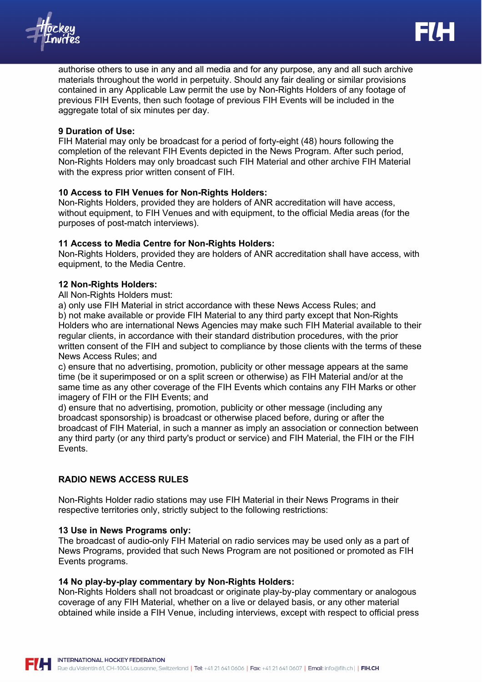



authorise others to use in any and all media and for any purpose, any and all such archive materials throughout the world in perpetuity. Should any fair dealing or similar provisions contained in any Applicable Law permit the use by Non-Rights Holders of any footage of previous FIH Events, then such footage of previous FIH Events will be included in the aggregate total of six minutes per day.

#### **9 Duration of Use:**

FIH Material may only be broadcast for a period of forty-eight (48) hours following the completion of the relevant FIH Events depicted in the News Program. After such period, Non-Rights Holders may only broadcast such FIH Material and other archive FIH Material with the express prior written consent of FIH.

### **10 Access to FIH Venues for Non-Rights Holders:**

Non-Rights Holders, provided they are holders of ANR accreditation will have access, without equipment, to FIH Venues and with equipment, to the official Media areas (for the purposes of post-match interviews).

## **11 Access to Media Centre for Non-Rights Holders:**

Non-Rights Holders, provided they are holders of ANR accreditation shall have access, with equipment, to the Media Centre.

### **12 Non-Rights Holders:**

All Non-Rights Holders must:

a) only use FIH Material in strict accordance with these News Access Rules; and b) not make available or provide FIH Material to any third party except that Non-Rights Holders who are international News Agencies may make such FIH Material available to their regular clients, in accordance with their standard distribution procedures, with the prior written consent of the FIH and subject to compliance by those clients with the terms of these News Access Rules; and

c) ensure that no advertising, promotion, publicity or other message appears at the same time (be it superimposed or on a split screen or otherwise) as FIH Material and/or at the same time as any other coverage of the FIH Events which contains any FIH Marks or other imagery of FIH or the FIH Events; and

d) ensure that no advertising, promotion, publicity or other message (including any broadcast sponsorship) is broadcast or otherwise placed before, during or after the broadcast of FIH Material, in such a manner as imply an association or connection between any third party (or any third party's product or service) and FIH Material, the FIH or the FIH Events.

## **RADIO NEWS ACCESS RULES**

Non-Rights Holder radio stations may use FIH Material in their News Programs in their respective territories only, strictly subject to the following restrictions:

#### **13 Use in News Programs only:**

The broadcast of audio-only FIH Material on radio services may be used only as a part of News Programs, provided that such News Program are not positioned or promoted as FIH Events programs.

#### **14 No play-by-play commentary by Non-Rights Holders:**

Non-Rights Holders shall not broadcast or originate play-by-play commentary or analogous coverage of any FIH Material, whether on a live or delayed basis, or any other material obtained while inside a FIH Venue, including interviews, except with respect to official press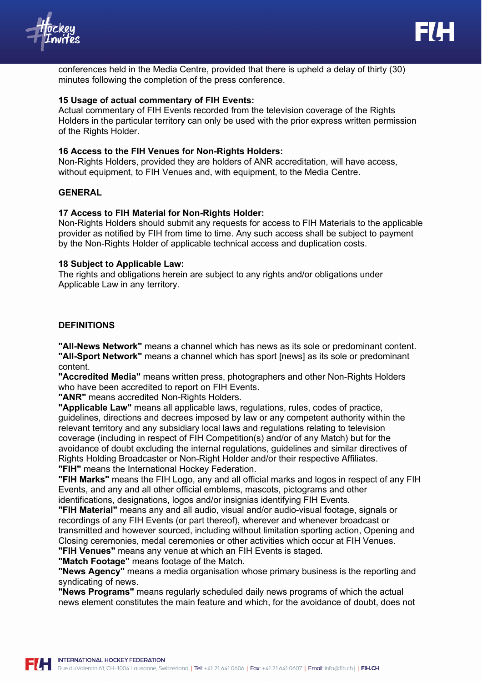



conferences held in the Media Centre, provided that there is upheld a delay of thirty (30) minutes following the completion of the press conference.

#### **15 Usage of actual commentary of FIH Events:**

Actual commentary of FIH Events recorded from the television coverage of the Rights Holders in the particular territory can only be used with the prior express written permission of the Rights Holder.

#### **16 Access to the FIH Venues for Non-Rights Holders:**

Non-Rights Holders, provided they are holders of ANR accreditation, will have access, without equipment, to FIH Venues and, with equipment, to the Media Centre.

### **GENERAL**

#### **17 Access to FIH Material for Non-Rights Holder:**

Non-Rights Holders should submit any requests for access to FIH Materials to the applicable provider as notified by FIH from time to time. Any such access shall be subject to payment by the Non-Rights Holder of applicable technical access and duplication costs.

#### **18 Subject to Applicable Law:**

The rights and obligations herein are subject to any rights and/or obligations under Applicable Law in any territory.

#### **DEFINITIONS**

**"All-News Network"** means a channel which has news as its sole or predominant content. **"All-Sport Network"** means a channel which has sport [news] as its sole or predominant content.

**"Accredited Media"** means written press, photographers and other Non-Rights Holders who have been accredited to report on FIH Events.

**"ANR"** means accredited Non-Rights Holders.

**"Applicable Law"** means all applicable laws, regulations, rules, codes of practice, guidelines, directions and decrees imposed by law or any competent authority within the relevant territory and any subsidiary local laws and regulations relating to television coverage (including in respect of FIH Competition(s) and/or of any Match) but for the avoidance of doubt excluding the internal regulations, guidelines and similar directives of Rights Holding Broadcaster or Non-Right Holder and/or their respective Affiliates. **"FIH"** means the International Hockey Federation.

**"FIH Marks"** means the FIH Logo, any and all official marks and logos in respect of any FIH Events, and any and all other official emblems, mascots, pictograms and other identifications, designations, logos and/or insignias identifying FIH Events.

**"FIH Material"** means any and all audio, visual and/or audio-visual footage, signals or recordings of any FIH Events (or part thereof), wherever and whenever broadcast or transmitted and however sourced, including without limitation sporting action, Opening and Closing ceremonies, medal ceremonies or other activities which occur at FIH Venues. **"FIH Venues"** means any venue at which an FIH Events is staged.

**"Match Footage"** means footage of the Match.

**"News Agency"** means a media organisation whose primary business is the reporting and syndicating of news.

**"News Programs"** means regularly scheduled daily news programs of which the actual news element constitutes the main feature and which, for the avoidance of doubt, does not